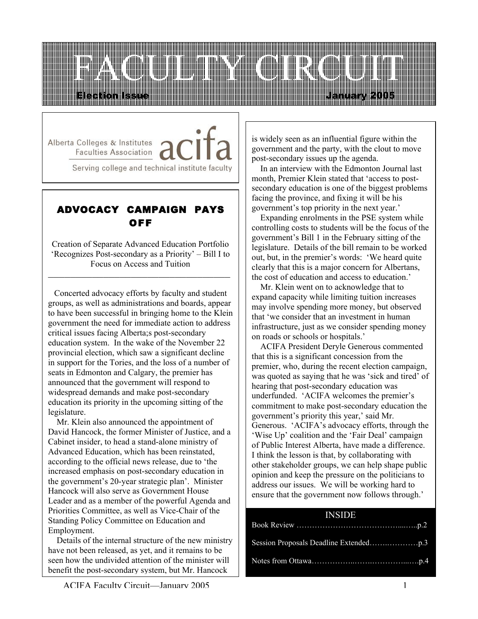

Alberta Colleges & Institutes **Faculties Association** 

Serving college and technical institute faculty

# ADVOCACY CAMPAIGN PAYS OFF

Creation of Separate Advanced Education Portfolio 'Recognizes Post-secondary as a Priority' – Bill I to Focus on Access and Tuition

\_\_\_\_\_\_\_\_\_\_\_\_\_\_\_\_\_\_\_\_\_\_\_\_\_\_\_\_\_\_\_\_\_

 Concerted advocacy efforts by faculty and student groups, as well as administrations and boards, appear to have been successful in bringing home to the Klein government the need for immediate action to address critical issues facing Alberta;s post-secondary education system. In the wake of the November 22 provincial election, which saw a significant decline in support for the Tories, and the loss of a number of seats in Edmonton and Calgary, the premier has announced that the government will respond to widespread demands and make post-secondary education its priority in the upcoming sitting of the legislature.

 Mr. Klein also announced the appointment of David Hancock, the former Minister of Justice, and a Cabinet insider, to head a stand-alone ministry of Advanced Education, which has been reinstated, according to the official news release, due to 'the increased emphasis on post-secondary education in the government's 20-year strategic plan'. Minister Hancock will also serve as Government House Leader and as a member of the powerful Agenda and Priorities Committee, as well as Vice-Chair of the Standing Policy Committee on Education and Employment.

 Details of the internal structure of the new ministry have not been released, as yet, and it remains to be seen how the undivided attention of the minister will benefit the post-secondary system, but Mr. Hancock

is widely seen as an influential figure within the government and the party, with the clout to move post-secondary issues up the agenda.

 In an interview with the Edmonton Journal last month, Premier Klein stated that 'access to postsecondary education is one of the biggest problems facing the province, and fixing it will be his government's top priority in the next year.'

 Expanding enrolments in the PSE system while controlling costs to students will be the focus of the government's Bill 1 in the February sitting of the legislature. Details of the bill remain to be worked out, but, in the premier's words: 'We heard quite clearly that this is a major concern for Albertans, the cost of education and access to education.'

 Mr. Klein went on to acknowledge that to expand capacity while limiting tuition increases may involve spending more money, but observed that 'we consider that an investment in human infrastructure, just as we consider spending money on roads or schools or hospitals.'

 ACIFA President Deryle Generous commented that this is a significant concession from the premier, who, during the recent election campaign, was quoted as saying that he was 'sick and tired' of hearing that post-secondary education was underfunded. 'ACIFA welcomes the premier's commitment to make post-secondary education the government's priority this year,' said Mr. Generous. 'ACIFA's advocacy efforts, through the 'Wise Up' coalition and the 'Fair Deal' campaign of Public Interest Alberta, have made a difference. I think the lesson is that, by collaborating with other stakeholder groups, we can help shape public opinion and keep the pressure on the politicians to address our issues. We will be working hard to ensure that the government now follows through.'

#### INSIDE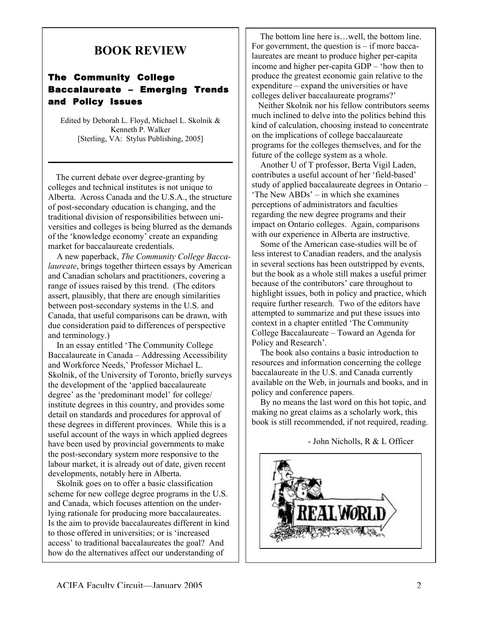# BOOK REVIEW

### The Community College Baccalaureate – Emerging Trends and Policy Issues

Edited by Deborah L. Floyd, Michael L. Skolnik & Kenneth P. Walker [Sterling, VA: Stylus Publishing, 2005]

 The current debate over degree-granting by colleges and technical institutes is not unique to Alberta. Across Canada and the U.S.A., the structure of post-secondary education is changing, and the traditional division of responsibilities between universities and colleges is being blurred as the demands of the 'knowledge economy' create an expanding market for baccalaureate credentials.

 A new paperback, *The Community College Baccalaureate*, brings together thirteen essays by American and Canadian scholars and practitioners, covering a range of issues raised by this trend. (The editors assert, plausibly, that there are enough similarities between post-secondary systems in the U.S. and Canada, that useful comparisons can be drawn, with due consideration paid to differences of perspective and terminology.)

 In an essay entitled 'The Community College Baccalaureate in Canada – Addressing Accessibility and Workforce Needs,' Professor Michael L. Skolnik, of the University of Toronto, briefly surveys the development of the 'applied baccalaureate degree' as the 'predominant model' for college/ institute degrees in this country, and provides some detail on standards and procedures for approval of these degrees in different provinces. While this is a useful account of the ways in which applied degrees have been used by provincial governments to make the post-secondary system more responsive to the labour market, it is already out of date, given recent developments, notably here in Alberta.

 Skolnik goes on to offer a basic classification scheme for new college degree programs in the U.S. and Canada, which focuses attention on the underlying rationale for producing more baccalaureates. Is the aim to provide baccalaureates different in kind to those offered in universities; or is 'increased access' to traditional baccalaureates the goal? And how do the alternatives affect our understanding of

 The bottom line here is…well, the bottom line. For government, the question is  $-$  if more baccalaureates are meant to produce higher per-capita income and higher per-capita GDP – 'how then to produce the greatest economic gain relative to the expenditure – expand the universities or have colleges deliver baccalaureate programs?'

 Neither Skolnik nor his fellow contributors seems much inclined to delve into the politics behind this kind of calculation, choosing instead to concentrate on the implications of college baccalaureate programs for the colleges themselves, and for the future of the college system as a whole.

 Another U of T professor, Berta Vigil Laden, contributes a useful account of her 'field-based' study of applied baccalaureate degrees in Ontario – 'The New ABDs' – in which she examines perceptions of administrators and faculties regarding the new degree programs and their impact on Ontario colleges. Again, comparisons with our experience in Alberta are instructive.

 Some of the American case-studies will be of less interest to Canadian readers, and the analysis in several sections has been outstripped by events, but the book as a whole still makes a useful primer because of the contributors' care throughout to highlight issues, both in policy and practice, which require further research. Two of the editors have attempted to summarize and put these issues into context in a chapter entitled 'The Community College Baccalaureate – Toward an Agenda for Policy and Research'.

 The book also contains a basic introduction to resources and information concerning the college baccalaureate in the U.S. and Canada currently available on the Web, in journals and books, and in policy and conference papers.

 By no means the last word on this hot topic, and making no great claims as a scholarly work, this book is still recommended, if not required, reading.

- John Nicholls, R & L Officer



the mission and purpose of colleges and purpose of  $c$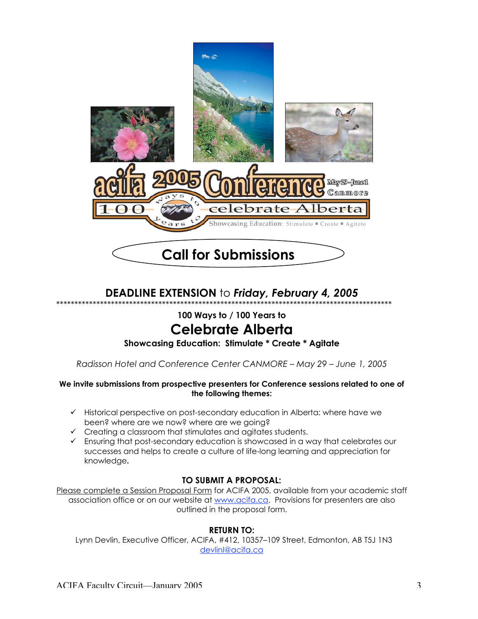

# **DEADLINE EXTENSION** to *Friday, February 4, 2005*

\*\*\*\*\*\*\*\*\*\*\*\*\*\*\*\*\*\*\*\*\*\*\*\*\*\*\*\*\*\*\*\*\*\*\*\*\*\*\*\*\*\*\*\*\*\*\*\*\*\*\*\*\*\*\*\*\*\*\*\*\*\*\*\*\*\*\*\*\*\*\*\*\*\*\*\*\*\*\*\*\*\*\*\*\*\*\*\*\*\*\*\*

**100 Ways to / 100 Years to**

# **Celebrate Alberta**

#### **Showcasing Education: Stimulate \* Create \* Agitate**

*Radisson Hotel and Conference Center CANMORE – May 29 – June 1, 2005*

#### **We invite submissions from prospective presenters for Conference sessions related to one of the following themes:**

- $\checkmark$  Historical perspective on post-secondary education in Alberta: where have we been? where are we now? where are we going?
- $\checkmark$  Creating a classroom that stimulates and agitates students.
- Ensuring that post-secondary education is showcased in a way that celebrates our successes and helps to create a culture of life-long learning and appreciation for knowledge**.**

#### **TO SUBMIT A PROPOSAL:**

Please complete a Session Proposal Form for ACIFA 2005, available from your academic staff association office or on our website at www.acifa.ca. Provisions for presenters are also outlined in the proposal form.

#### **RETURN TO:**

 Lynn Devlin, Executive Officer, ACIFA, #412, 10357–109 Street, Edmonton, AB T5J 1N3 devlinl@acifa.ca